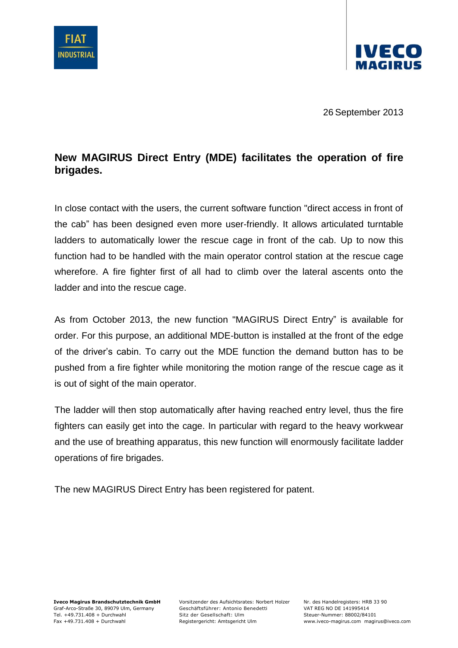



26 September 2013

## **New MAGIRUS Direct Entry (MDE) facilitates the operation of fire brigades.**

In close contact with the users, the current software function "direct access in front of the cab" has been designed even more user-friendly. It allows articulated turntable ladders to automatically lower the rescue cage in front of the cab. Up to now this function had to be handled with the main operator control station at the rescue cage wherefore. A fire fighter first of all had to climb over the lateral ascents onto the ladder and into the rescue cage.

As from October 2013, the new function "MAGIRUS Direct Entry" is available for order. For this purpose, an additional MDE-button is installed at the front of the edge of the driver's cabin. To carry out the MDE function the demand button has to be pushed from a fire fighter while monitoring the motion range of the rescue cage as it is out of sight of the main operator.

The ladder will then stop automatically after having reached entry level, thus the fire fighters can easily get into the cage. In particular with regard to the heavy workwear and the use of breathing apparatus, this new function will enormously facilitate ladder operations of fire brigades.

The new MAGIRUS Direct Entry has been registered for patent.